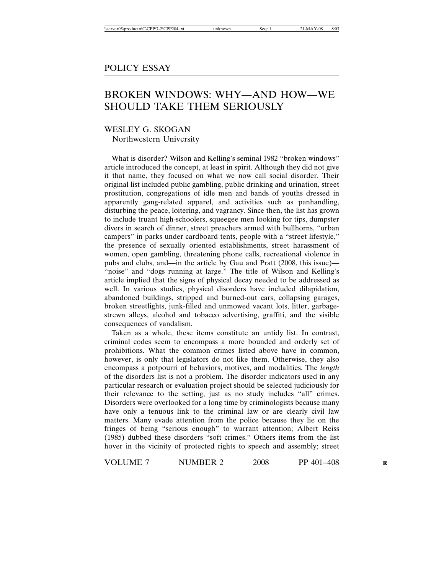# BROKEN WINDOWS: WHY—AND HOW—WE SHOULD TAKE THEM SERIOUSLY

# WESLEY G. SKOGAN Northwestern University

What is disorder? Wilson and Kelling's seminal 1982 "broken windows" article introduced the concept, at least in spirit. Although they did not give it that name, they focused on what we now call social disorder. Their original list included public gambling, public drinking and urination, street prostitution, congregations of idle men and bands of youths dressed in apparently gang-related apparel, and activities such as panhandling, disturbing the peace, loitering, and vagrancy. Since then, the list has grown to include truant high-schoolers, squeegee men looking for tips, dumpster divers in search of dinner, street preachers armed with bullhorns, "urban campers" in parks under cardboard tents, people with a "street lifestyle," the presence of sexually oriented establishments, street harassment of women, open gambling, threatening phone calls, recreational violence in pubs and clubs, and—in the article by Gau and Pratt (2008, this issue)— "noise" and "dogs running at large." The title of Wilson and Kelling's article implied that the signs of physical decay needed to be addressed as well. In various studies, physical disorders have included dilapidation, abandoned buildings, stripped and burned-out cars, collapsing garages, broken streetlights, junk-filled and unmowed vacant lots, litter, garbagestrewn alleys, alcohol and tobacco advertising, graffiti, and the visible consequences of vandalism.

Taken as a whole, these items constitute an untidy list. In contrast, criminal codes seem to encompass a more bounded and orderly set of prohibitions. What the common crimes listed above have in common, however, is only that legislators do not like them. Otherwise, they also encompass a potpourri of behaviors, motives, and modalities. The *length* of the disorders list is not a problem. The disorder indicators used in any particular research or evaluation project should be selected judiciously for their relevance to the setting, just as no study includes "all" crimes. Disorders were overlooked for a long time by criminologists because many have only a tenuous link to the criminal law or are clearly civil law matters. Many evade attention from the police because they lie on the fringes of being "serious enough" to warrant attention; Albert Reiss (1985) dubbed these disorders "soft crimes." Others items from the list hover in the vicinity of protected rights to speech and assembly; street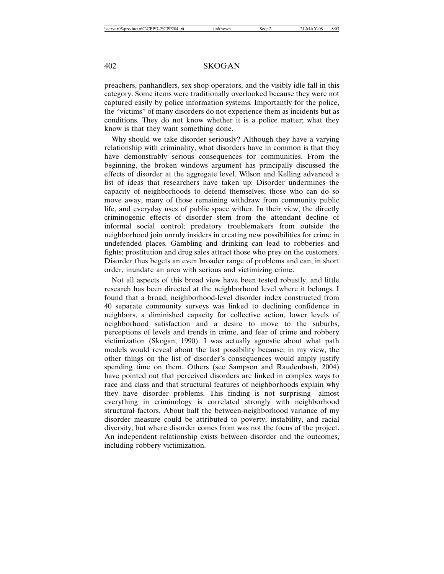preachers, panhandlers, sex shop operators, and the visibly idle fall in this category. Some items were traditionally overlooked because they were not captured easily by police information systems. Importantly for the police, the "victims" of many disorders do not experience them as incidents but as conditions. They do not know whether it is a police matter; what they know is that they want something done.

Why should we take disorder seriously? Although they have a varying relationship with criminality, what disorders have in common is that they have demonstrably serious consequences for communities. From the beginning, the broken windows argument has principally discussed the effects of disorder at the aggregate level. Wilson and Kelling advanced a list of ideas that researchers have taken up: Disorder undermines the capacity of neighborhoods to defend themselves; those who can do so move away, many of those remaining withdraw from community public life, and everyday uses of public space wither. In their view, the directly criminogenic effects of disorder stem from the attendant decline of informal social control; predatory troublemakers from outside the neighborhood join unruly insiders in creating new possibilities for crime in undefended places. Gambling and drinking can lead to robberies and fights; prostitution and drug sales attract those who prey on the customers. Disorder thus begets an even broader range of problems and can, in short order, inundate an area with serious and victimizing crime.

Not all aspects of this broad view have been tested robustly, and little research has been directed at the neighborhood level where it belongs. I found that a broad, neighborhood-level disorder index constructed from 40 separate community surveys was linked to declining confidence in neighbors, a diminished capacity for collective action, lower levels of neighborhood satisfaction and a desire to move to the suburbs, perceptions of levels and trends in crime, and fear of crime and robbery victimization (Skogan, 1990). I was actually agnostic about what path models would reveal about the last possibility because, in my view, the other things on the list of disorder's consequences would amply justify spending time on them. Others (see Sampson and Raudenbush, 2004) have pointed out that perceived disorders are linked in complex ways to race and class and that structural features of neighborhoods explain why they have disorder problems. This finding is not surprising—almost everything in criminology is correlated strongly with neighborhood structural factors. About half the between-neighborhood variance of my disorder measure could be attributed to poverty, instability, and racial diversity, but where disorder comes from was not the focus of the project. An independent relationship exists between disorder and the outcomes, including robbery victimization.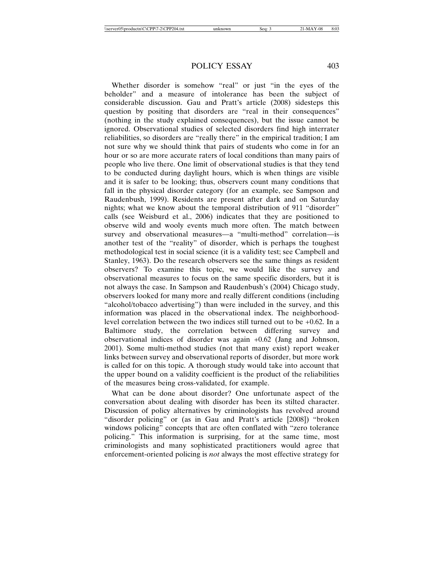Whether disorder is somehow "real" or just "in the eyes of the beholder" and a measure of intolerance has been the subject of considerable discussion. Gau and Pratt's article (2008) sidesteps this question by positing that disorders are "real in their consequences" (nothing in the study explained consequences), but the issue cannot be ignored. Observational studies of selected disorders find high interrater reliabilities, so disorders are "really there" in the empirical tradition; I am not sure why we should think that pairs of students who come in for an hour or so are more accurate raters of local conditions than many pairs of people who live there. One limit of observational studies is that they tend to be conducted during daylight hours, which is when things are visible and it is safer to be looking; thus, observers count many conditions that fall in the physical disorder category (for an example, see Sampson and Raudenbush, 1999). Residents are present after dark and on Saturday nights; what we know about the temporal distribution of 911 "disorder" calls (see Weisburd et al., 2006) indicates that they are positioned to observe wild and wooly events much more often. The match between survey and observational measures—a "multi-method" correlation—is another test of the "reality" of disorder, which is perhaps the toughest methodological test in social science (it is a validity test; see Campbell and Stanley, 1963). Do the research observers see the same things as resident observers? To examine this topic, we would like the survey and observational measures to focus on the same specific disorders, but it is not always the case. In Sampson and Raudenbush's (2004) Chicago study, observers looked for many more and really different conditions (including "alcohol/tobacco advertising") than were included in the survey, and this information was placed in the observational index. The neighborhoodlevel correlation between the two indices still turned out to be +0.62. In a Baltimore study, the correlation between differing survey and observational indices of disorder was again +0.62 (Jang and Johnson, 2001). Some multi-method studies (not that many exist) report weaker links between survey and observational reports of disorder, but more work is called for on this topic. A thorough study would take into account that the upper bound on a validity coefficient is the product of the reliabilities of the measures being cross-validated, for example.

What can be done about disorder? One unfortunate aspect of the conversation about dealing with disorder has been its stilted character. Discussion of policy alternatives by criminologists has revolved around "disorder policing" or (as in Gau and Pratt's article [2008]) "broken windows policing" concepts that are often conflated with "zero tolerance policing." This information is surprising, for at the same time, most criminologists and many sophisticated practitioners would agree that enforcement-oriented policing is *not* always the most effective strategy for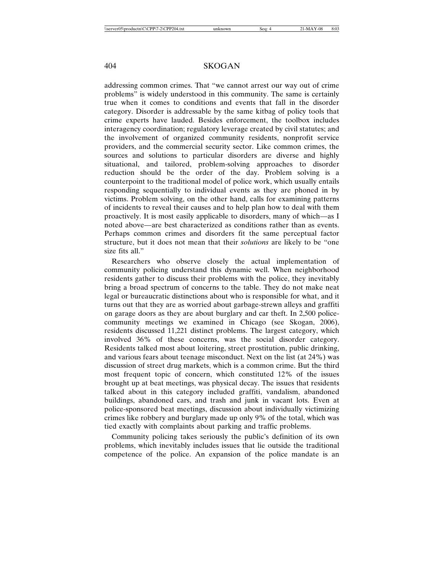addressing common crimes. That "we cannot arrest our way out of crime problems" is widely understood in this community. The same is certainly true when it comes to conditions and events that fall in the disorder category. Disorder is addressable by the same kitbag of policy tools that crime experts have lauded. Besides enforcement, the toolbox includes interagency coordination; regulatory leverage created by civil statutes; and the involvement of organized community residents, nonprofit service providers, and the commercial security sector. Like common crimes, the sources and solutions to particular disorders are diverse and highly situational, and tailored, problem-solving approaches to disorder reduction should be the order of the day. Problem solving is a counterpoint to the traditional model of police work, which usually entails responding sequentially to individual events as they are phoned in by victims. Problem solving, on the other hand, calls for examining patterns of incidents to reveal their causes and to help plan how to deal with them proactively. It is most easily applicable to disorders, many of which—as I noted above—are best characterized as conditions rather than as events. Perhaps common crimes and disorders fit the same perceptual factor structure, but it does not mean that their *solutions* are likely to be "one size fits all."

Researchers who observe closely the actual implementation of community policing understand this dynamic well. When neighborhood residents gather to discuss their problems with the police, they inevitably bring a broad spectrum of concerns to the table. They do not make neat legal or bureaucratic distinctions about who is responsible for what, and it turns out that they are as worried about garbage-strewn alleys and graffiti on garage doors as they are about burglary and car theft. In 2,500 policecommunity meetings we examined in Chicago (see Skogan, 2006), residents discussed 11,221 distinct problems. The largest category, which involved 36% of these concerns, was the social disorder category. Residents talked most about loitering, street prostitution, public drinking, and various fears about teenage misconduct. Next on the list (at 24%) was discussion of street drug markets, which is a common crime. But the third most frequent topic of concern, which constituted 12% of the issues brought up at beat meetings, was physical decay. The issues that residents talked about in this category included graffiti, vandalism, abandoned buildings, abandoned cars, and trash and junk in vacant lots. Even at police-sponsored beat meetings, discussion about individually victimizing crimes like robbery and burglary made up only 9% of the total, which was tied exactly with complaints about parking and traffic problems.

Community policing takes seriously the public's definition of its own problems, which inevitably includes issues that lie outside the traditional competence of the police. An expansion of the police mandate is an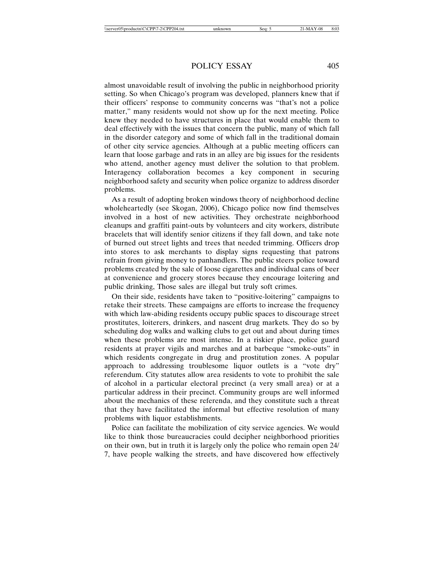almost unavoidable result of involving the public in neighborhood priority setting. So when Chicago's program was developed, planners knew that if their officers' response to community concerns was "that's not a police matter," many residents would not show up for the next meeting. Police knew they needed to have structures in place that would enable them to deal effectively with the issues that concern the public, many of which fall in the disorder category and some of which fall in the traditional domain of other city service agencies. Although at a public meeting officers can learn that loose garbage and rats in an alley are big issues for the residents who attend, another agency must deliver the solution to that problem. Interagency collaboration becomes a key component in securing neighborhood safety and security when police organize to address disorder problems.

As a result of adopting broken windows theory of neighborhood decline wholeheartedly (see Skogan, 2006), Chicago police now find themselves involved in a host of new activities. They orchestrate neighborhood cleanups and graffiti paint-outs by volunteers and city workers, distribute bracelets that will identify senior citizens if they fall down, and take note of burned out street lights and trees that needed trimming. Officers drop into stores to ask merchants to display signs requesting that patrons refrain from giving money to panhandlers. The public steers police toward problems created by the sale of loose cigarettes and individual cans of beer at convenience and grocery stores because they encourage loitering and public drinking, Those sales are illegal but truly soft crimes.

On their side, residents have taken to "positive-loitering" campaigns to retake their streets. These campaigns are efforts to increase the frequency with which law-abiding residents occupy public spaces to discourage street prostitutes, loiterers, drinkers, and nascent drug markets. They do so by scheduling dog walks and walking clubs to get out and about during times when these problems are most intense. In a riskier place, police guard residents at prayer vigils and marches and at barbeque "smoke-outs" in which residents congregate in drug and prostitution zones. A popular approach to addressing troublesome liquor outlets is a "vote dry" referendum. City statutes allow area residents to vote to prohibit the sale of alcohol in a particular electoral precinct (a very small area) or at a particular address in their precinct. Community groups are well informed about the mechanics of these referenda, and they constitute such a threat that they have facilitated the informal but effective resolution of many problems with liquor establishments.

Police can facilitate the mobilization of city service agencies. We would like to think those bureaucracies could decipher neighborhood priorities on their own, but in truth it is largely only the police who remain open 24/ 7, have people walking the streets, and have discovered how effectively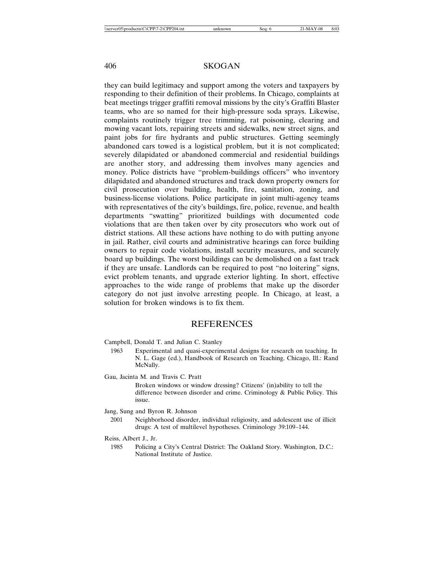they can build legitimacy and support among the voters and taxpayers by responding to their definition of their problems. In Chicago, complaints at beat meetings trigger graffiti removal missions by the city's Graffiti Blaster teams, who are so named for their high-pressure soda sprays. Likewise, complaints routinely trigger tree trimming, rat poisoning, clearing and mowing vacant lots, repairing streets and sidewalks, new street signs, and paint jobs for fire hydrants and public structures. Getting seemingly abandoned cars towed is a logistical problem, but it is not complicated; severely dilapidated or abandoned commercial and residential buildings are another story, and addressing them involves many agencies and money. Police districts have "problem-buildings officers" who inventory dilapidated and abandoned structures and track down property owners for civil prosecution over building, health, fire, sanitation, zoning, and business-license violations. Police participate in joint multi-agency teams with representatives of the city's buildings, fire, police, revenue, and health departments "swatting" prioritized buildings with documented code violations that are then taken over by city prosecutors who work out of district stations. All these actions have nothing to do with putting anyone in jail. Rather, civil courts and administrative hearings can force building owners to repair code violations, install security measures, and securely board up buildings. The worst buildings can be demolished on a fast track if they are unsafe. Landlords can be required to post "no loitering" signs, evict problem tenants, and upgrade exterior lighting. In short, effective approaches to the wide range of problems that make up the disorder category do not just involve arresting people. In Chicago, at least, a solution for broken windows is to fix them.

### **REFERENCES**

- Campbell, Donald T. and Julian C. Stanley
	- 1963 Experimental and quasi-experimental designs for research on teaching. In N. L. Gage (ed.), Handbook of Research on Teaching. Chicago, Ill.: Rand McNally.
- Gau, Jacinta M. and Travis C. Pratt

Broken windows or window dressing? Citizens' (in)ability to tell the difference between disorder and crime. Criminology & Public Policy. This issue.

- Jang, Sung and Byron R. Johnson
	- 2001 Neighborhood disorder, individual religiosity, and adolescent use of illicit drugs: A test of multilevel hypotheses. Criminology 39:109–144.
- Reiss, Albert J., Jr.
	- 1985 Policing a City's Central District: The Oakland Story. Washington, D.C.: National Institute of Justice.